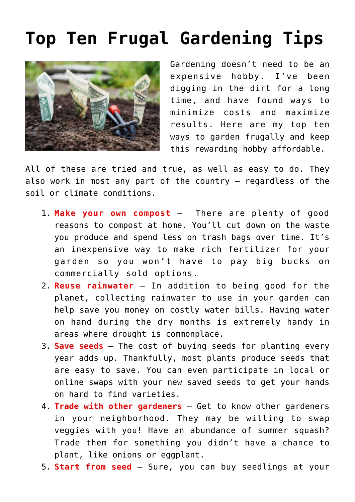## **[Top Ten Frugal Gardening Tips](https://www.frugalgardening.com/top-ten-frugal-gardening-tips.html)**



Gardening doesn't need to be an expensive hobby. I've been digging in the dirt for a long time, and have found ways to minimize costs and maximize results. Here are my top ten ways to garden frugally and keep this rewarding hobby affordable.

All of these are tried and true, as well as easy to do. They also work in most any part of the country – regardless of the soil or climate conditions.

- 1. **Make your own compost** There are plenty of good reasons to compost at home. You'll cut down on the waste you produce and spend less on trash bags over time. It's an inexpensive way to make rich fertilizer for your garden so you won't have to pay big bucks on commercially sold options.
- 2. **Reuse rainwater** In addition to being good for the planet, collecting rainwater to use in your garden can help save you money on costly water bills. Having water on hand during the dry months is extremely handy in areas where drought is commonplace.
- 3. **Save seeds** The cost of buying seeds for planting every year adds up. Thankfully, most plants produce seeds that are easy to save. You can even participate in local or online swaps with your new saved seeds to get your hands on hard to find varieties.
- 4. **Trade with other gardeners** Get to know other gardeners in your neighborhood. They may be willing to swap veggies with you! Have an abundance of summer squash? Trade them for something you didn't have a chance to plant, like onions or eggplant.
- 5. **Start from seed** Sure, you can buy seedlings at your